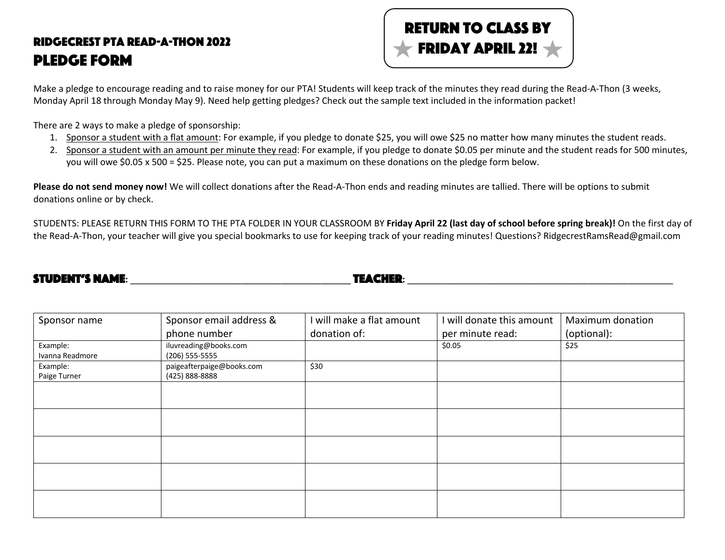## Ridgecrest PTA Read-A-Thon 2022 Pledge Form



Make a pledge to encourage reading and to raise money for our PTA! Students will keep track of the minutes they read during the Read-A-Thon (3 weeks, Monday April 18 through Monday May 9). Need help getting pledges? Check out the sample text included in the information packet!

There are 2 ways to make a pledge of sponsorship:

- 1. Sponsor a student with a flat amount: For example, if you pledge to donate \$25, you will owe \$25 no matter how many minutes the student reads.
- 2. Sponsor a student with an amount per minute they read: For example, if you pledge to donate \$0.05 per minute and the student reads for 500 minutes, you will owe \$0.05 x 500 = \$25. Please note, you can put a maximum on these donations on the pledge form below.

**Please do not send money now!** We will collect donations after the Read-A-Thon ends and reading minutes are tallied. There will be options to submit donations online or by check.

STUDENTS: PLEASE RETURN THIS FORM TO THE PTA FOLDER IN YOUR CLASSROOM BY **Friday April 22 (last day of school before spring break)!** On the first day of the Read-A-Thon, your teacher will give you special bookmarks to use for keeping track of your reading minutes! Questions? RidgecrestRamsRead@gmail.com

| <b>STUDENT'S NAME:</b> | <b><i>TEACHER:</i></b> |  |
|------------------------|------------------------|--|
|                        |                        |  |

| Sponsor name             | Sponsor email address &<br>phone number     | I will make a flat amount<br>donation of: | I will donate this amount<br>per minute read: | Maximum donation<br>(optional): |
|--------------------------|---------------------------------------------|-------------------------------------------|-----------------------------------------------|---------------------------------|
| Example:                 | iluvreading@books.com                       |                                           | \$0.05                                        | \$25                            |
| Ivanna Readmore          | $(206)$ 555-5555                            |                                           |                                               |                                 |
| Example:<br>Paige Turner | paigeafterpaige@books.com<br>(425) 888-8888 | \$30                                      |                                               |                                 |
|                          |                                             |                                           |                                               |                                 |
|                          |                                             |                                           |                                               |                                 |
|                          |                                             |                                           |                                               |                                 |
|                          |                                             |                                           |                                               |                                 |
|                          |                                             |                                           |                                               |                                 |
|                          |                                             |                                           |                                               |                                 |
|                          |                                             |                                           |                                               |                                 |
|                          |                                             |                                           |                                               |                                 |